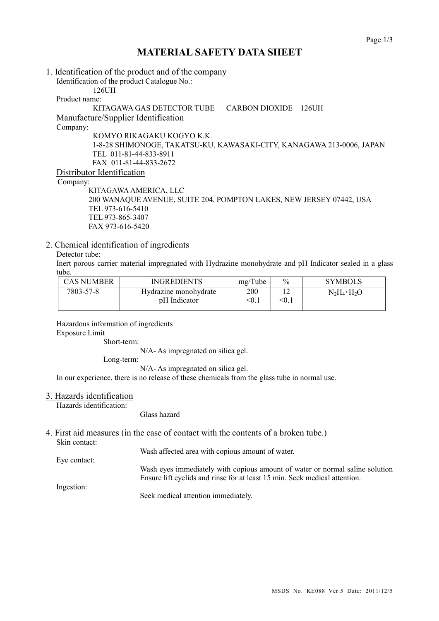## **MATERIAL SAFETY DATA SHEET**

| 1. Identification of the product and of the company                   |
|-----------------------------------------------------------------------|
| Identification of the product Catalogue No.:                          |
| 126UH                                                                 |
| Product name:                                                         |
| KITAGAWA GAS DETECTOR TUBE<br>CARBON DIOXIDE<br>$126$ UH              |
| Manufacture/Supplier Identification                                   |
| Company:                                                              |
| KOMYO RIKAGAKU KOGYO K.K.                                             |
| 1-8-28 SHIMONOGE, TAKATSU-KU, KAWASAKI-CITY, KANAGAWA 213-0006, JAPAN |
| TEL 011-81-44-833-8911                                                |
| FAX 011-81-44-833-2672                                                |
| Distributor Identification                                            |
| Company:                                                              |
| KITAGAWA AMERICA, LLC                                                 |
| 200 WANAQUE AVENUE, SUITE 204, POMPTON LAKES, NEW JERSEY 07442, USA   |
| TEL 973-616-5410                                                      |
| TEL 973-865-3407                                                      |
| FAX 973-616-5420                                                      |

#### 2. Chemical identification of ingredients

### Detector tube:

Inert porous carrier material impregnated with Hydrazine monohydrate and pH Indicator sealed in a glass tube.

| <b>CAS NUMBER</b> | <b>INGREDIENTS</b>    | mg/Tube | $\%$  | <b>SYMBOLS</b>      |
|-------------------|-----------------------|---------|-------|---------------------|
| 7803-57-8         | Hydrazine monohydrate | 200     |       | $N_2H_4 \cdot H_2O$ |
|                   | pH Indicator          | < 0.1   | < 0.1 |                     |

Hazardous information of ingredients Exposure Limit

Short-term:

N/A- As impregnated on silica gel.

Long-term:

N/A- As impregnated on silica gel.

In our experience, there is no release of these chemicals from the glass tube in normal use.

#### 3. Hazards identification

Hazards identification:

Glass hazard

### 4. First aid measures (in the case of contact with the contents of a broken tube.)

Skin contact:

Wash affected area with copious amount of water.

Eye contact:

Wash eyes immediately with copious amount of water or normal saline solution Ensure lift eyelids and rinse for at least 15 min. Seek medical attention.

Ingestion:

Seek medical attention immediately.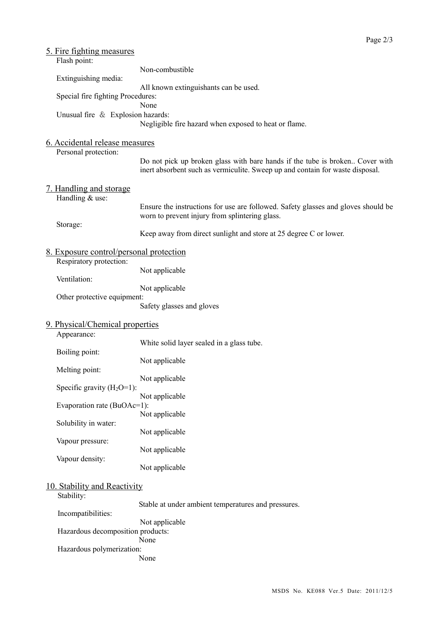| 5. Fire fighting measures               |                                                                                                                                                               |
|-----------------------------------------|---------------------------------------------------------------------------------------------------------------------------------------------------------------|
| Flash point:                            |                                                                                                                                                               |
|                                         | Non-combustible                                                                                                                                               |
| Extinguishing media:                    | All known extinguishants can be used.                                                                                                                         |
| Special fire fighting Procedures:       |                                                                                                                                                               |
|                                         | None                                                                                                                                                          |
| Unusual fire & Explosion hazards:       | Negligible fire hazard when exposed to heat or flame.                                                                                                         |
|                                         |                                                                                                                                                               |
| 6. Accidental release measures          |                                                                                                                                                               |
| Personal protection:                    |                                                                                                                                                               |
|                                         | Do not pick up broken glass with bare hands if the tube is broken Cover with<br>inert absorbent such as vermiculite. Sweep up and contain for waste disposal. |
| <u>7. Handling and storage</u>          |                                                                                                                                                               |
| Handling & use:                         |                                                                                                                                                               |
|                                         | Ensure the instructions for use are followed. Safety glasses and gloves should be<br>worn to prevent injury from splintering glass.                           |
| Storage:                                |                                                                                                                                                               |
|                                         | Keep away from direct sunlight and store at 25 degree C or lower.                                                                                             |
| 8. Exposure control/personal protection |                                                                                                                                                               |
| Respiratory protection:                 | Not applicable                                                                                                                                                |
| Ventilation:                            |                                                                                                                                                               |
|                                         | Not applicable                                                                                                                                                |
| Other protective equipment:             |                                                                                                                                                               |
|                                         | Safety glasses and gloves                                                                                                                                     |
| 9. Physical/Chemical properties         |                                                                                                                                                               |
| Appearance:                             |                                                                                                                                                               |
| Boiling point:                          | White solid layer sealed in a glass tube.                                                                                                                     |
|                                         | Not applicable                                                                                                                                                |
| Melting point:                          |                                                                                                                                                               |
| Specific gravity $(H_2O=1)$ :           | Not applicable                                                                                                                                                |
|                                         | Not applicable                                                                                                                                                |
| Evaporation rate (BuOAc=1):             |                                                                                                                                                               |
| Solubility in water:                    | Not applicable                                                                                                                                                |
|                                         | Not applicable                                                                                                                                                |
| Vapour pressure:                        |                                                                                                                                                               |
| Vapour density:                         | Not applicable                                                                                                                                                |
|                                         | Not applicable                                                                                                                                                |
| 10. Stability and Reactivity            |                                                                                                                                                               |
| Stability:                              |                                                                                                                                                               |
|                                         | Stable at under ambient temperatures and pressures.                                                                                                           |
| Incompatibilities:                      | Not applicable                                                                                                                                                |
| Hazardous decomposition products:       |                                                                                                                                                               |
|                                         | None                                                                                                                                                          |
| Hazardous polymerization:               | None                                                                                                                                                          |
|                                         |                                                                                                                                                               |